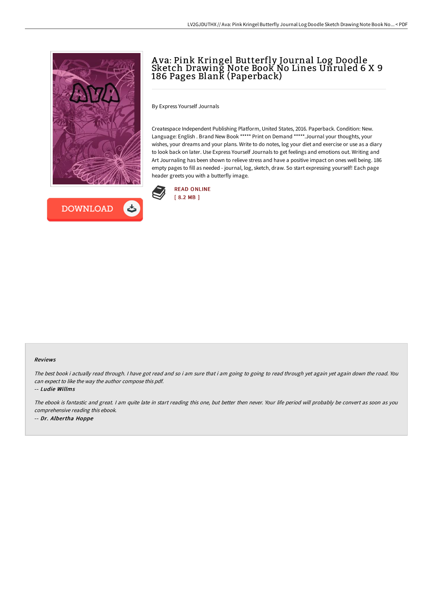



# A va: Pink Kringel Butterfly Journal Log Doodle Sketch Drawing Note Book No Lines Unruled 6 X 9 186 Pages Blank (Paperback)

By Express Yourself Journals

Createspace Independent Publishing Platform, United States, 2016. Paperback. Condition: New. Language: English . Brand New Book \*\*\*\*\* Print on Demand \*\*\*\*\*.Journal your thoughts, your wishes, your dreams and your plans. Write to do notes, log your diet and exercise or use as a diary to look back on later. Use Express Yourself Journals to get feelings and emotions out. Writing and Art Journaling has been shown to relieve stress and have a positive impact on ones well being. 186 empty pages to fill as needed - journal, log, sketch, draw. So start expressing yourself! Each page header greets you with a butterfly image.



#### Reviews

The best book i actually read through. I have got read and so i am sure that i am going to going to read through yet again yet again down the road. You can expect to like the way the author compose this pdf.

-- Ludie Willms

The ebook is fantastic and great. <sup>I</sup> am quite late in start reading this one, but better then never. Your life period will probably be convert as soon as you comprehensive reading this ebook. -- Dr. Albertha Hoppe